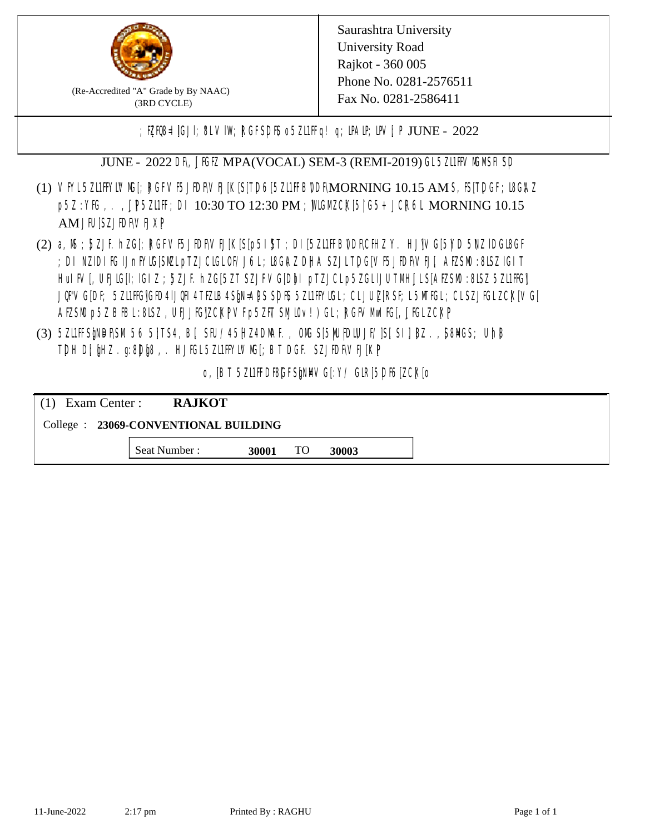

(Re-Accredited "A" Grade by By NAAC) (3RD CYCLE)

;  $E[R\mathcal{B} = \text{[GJI]}$ ;  $8LV\mathcal{I}W$ ;  $RGFSD\mathcal{B}$  o  $5Z\mathcal{I}HF q$  ! q;  $\mathcal{I}MP$ ;  $\mathcal{I}W$ ;  $P$  JUNE - 2022

JUNE - 2022 DR, JIGIZ MPA(VOCAL) SEM-3 (REMI-2019) GL5Z1IFVMMSH SD

- (1) VFYL5Z11FFYLVMC[; RGFVF5JEDF\VEJ[K[S[T]D6[5Z11FFB0DF\MORNING 10.15 AM S, IS[T]DGF; I8G\AZ p5Z:YK, . , UP5ZILF; DI 10:30 TO 12:30 PM ; WGM CK[5| G5+ JCR6L MORNING 10.15 AM JIUSZJIDRVEJXP
- (2) a, M ; BZJE hZG[; RGFVE5JIDF\VEJ[K[S[p5I]\$T ; DI[5ZI1IFB\DDF\CHIZ Y. HJ]\VG[5|YD 5\VZ lDGI8GF ; DI NZIDI K; IJnFYIG[SMLpTZJCIGLOF/J6L; ISGAZ DHA SZJLTDG[VF5JEDF\VEJ[, AEZSM0 :8LSZ IGIT] HuIFV[, UEJG[]; IGIZ ; 5ZJF. hZG[5ZT SZJFVG[DbI pTZJCLp5ZGLIJUTMHJLS[AEZSM0 :8LSZ 5Z11HG] JQFVG[DF; 5Z11HG]GED4 LJQH 4 TEZIB4 SEN= APS SDES 5Z11 HYIGL ;CL JUL [RSF;L 5MTGL ;CL SZJFGL ZCK[ VG[ AESM p5Z BBL:8LSZ, UEJJG|ZCKPVFp5ZFT SMIOv!) GL; RGFVM EG[, JJGLZCKP
- (3) 5ZUFFS&NDF\SM.56 5}TS4, B[, SFU/45HZ4D\MAF., OMS[5|NU|PDIUJF/]S[ SI], [8Z.,[S8]ACS; Uh[8 TDH D[ $jHZ$ .g:8D $jg$ ,. HJ $KL$ 5ZL1FFYLVMS[;BT DGF. SZJEDFIVEJ[KP]

o, JBT 5Z11FDBGFSPNMG[:Y/ GIR[5DF6]ZCK[0

| $(1)$ Exam Center :                   | <b>RAJKOT</b> |       |     |       |  |  |
|---------------------------------------|---------------|-------|-----|-------|--|--|
| College : 23069-CONVENTIONAL BUILDING |               |       |     |       |  |  |
|                                       | Seat Number : | 30001 | TO. | 30003 |  |  |